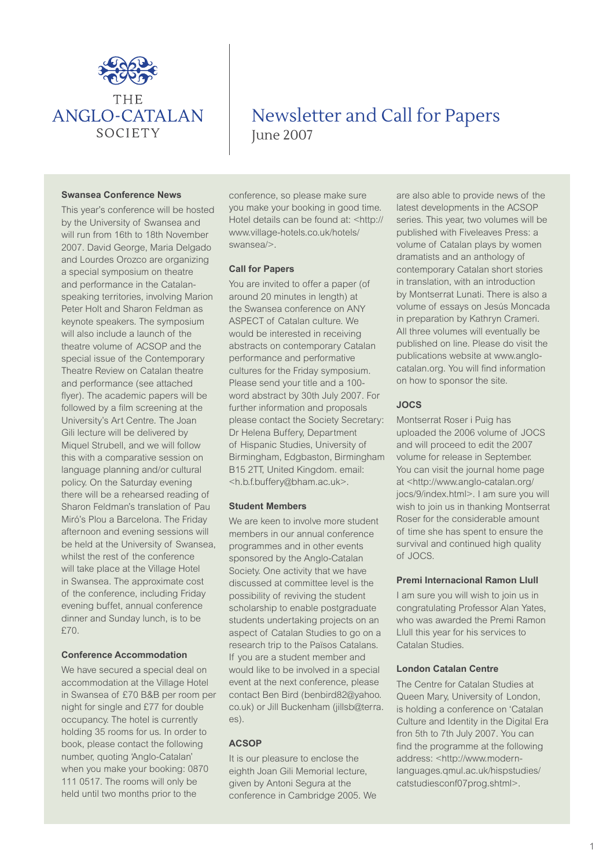

# Newsletter and Call for Papers June 2007

#### **Swansea Conference News**

This year's conference will be hosted by the University of Swansea and will run from 16th to 18th November 2007. David George, Maria Delgado and Lourdes Orozco are organizing a special symposium on theatre and performance in the Catalanspeaking territories, involving Marion Peter Holt and Sharon Feldman as keynote speakers. The symposium will also include a launch of the theatre volume of ACSOP and the special issue of the Contemporary Theatre Review on Catalan theatre and performance (see attached flyer). The academic papers will be followed by a film screening at the University's Art Centre. The Joan Gili lecture will be delivered by Miquel Strubell, and we will follow this with a comparative session on language planning and/or cultural policy. On the Saturday evening there will be a rehearsed reading of Sharon Feldman's translation of Pau Miró's Plou a Barcelona. The Friday afternoon and evening sessions will be held at the University of Swansea, whilst the rest of the conference will take place at the Village Hotel in Swansea. The approximate cost of the conference, including Friday evening buffet, annual conference dinner and Sunday lunch, is to be £70.

# **Conference Accommodation**

We have secured a special deal on accommodation at the Village Hotel in Swansea of £70 B&B per room per night for single and £77 for double occupancy. The hotel is currently holding 35 rooms for us. In order to book, please contact the following number, quoting 'Anglo-Catalan' when you make your booking: 0870 111 0517. The rooms will only be held until two months prior to the

conference, so please make sure you make your booking in good time. Hotel details can be found at: <http:// www.village-hotels.co.uk/hotels/ swansea/>.

## **Call for Papers**

You are invited to offer a paper (of around 20 minutes in length) at the Swansea conference on ANY ASPECT of Catalan culture. We would be interested in receiving abstracts on contemporary Catalan performance and performative cultures for the Friday symposium. Please send your title and a 100 word abstract by 30th July 2007. For further information and proposals please contact the Society Secretary: Dr Helena Buffery, Department of Hispanic Studies, University of Birmingham, Edgbaston, Birmingham B15 2TT, United Kingdom. email: <h.b.f.buffery@bham.ac.uk>.

#### **Student Members**

We are keen to involve more student members in our annual conference programmes and in other events sponsored by the Anglo-Catalan Society. One activity that we have discussed at committee level is the possibility of reviving the student scholarship to enable postgraduate students undertaking projects on an aspect of Catalan Studies to go on a research trip to the Països Catalans. If you are a student member and would like to be involved in a special event at the next conference, please contact Ben Bird (benbird82@yahoo. co.uk) or Jill Buckenham (jillsb@terra. es).

## **ACSOP**

It is our pleasure to enclose the eighth Joan Gili Memorial lecture, given by Antoni Segura at the conference in Cambridge 2005. We

are also able to provide news of the latest developments in the ACSOP series. This year, two volumes will be published with Fiveleaves Press: a volume of Catalan plays by women dramatists and an anthology of contemporary Catalan short stories in translation, with an introduction by Montserrat Lunati. There is also a volume of essays on Jesús Moncada in preparation by Kathryn Crameri. All three volumes will eventually be published on line. Please do visit the publications website at www.anglocatalan.org. You will find information on how to sponsor the site.

# **JOCS**

Montserrat Roser i Puig has uploaded the 2006 volume of JOCS and will proceed to edit the 2007 volume for release in September. You can visit the journal home page at <http://www.anglo-catalan.org/ jocs/9/index.html>. I am sure you will wish to join us in thanking Montserrat Roser for the considerable amount of time she has spent to ensure the survival and continued high quality of JOCS.

## **Premi Internacional Ramon Llull**

I am sure you will wish to join us in congratulating Professor Alan Yates, who was awarded the Premi Ramon Llull this year for his services to Catalan Studies.

#### **London Catalan Centre**

The Centre for Catalan Studies at Queen Mary, University of London, is holding a conference on 'Catalan Culture and Identity in the Digital Era fron 5th to 7th July 2007. You can find the programme at the following address: <http://www.modernlanguages.qmul.ac.uk/hispstudies/ catstudiesconf07prog.shtml>.